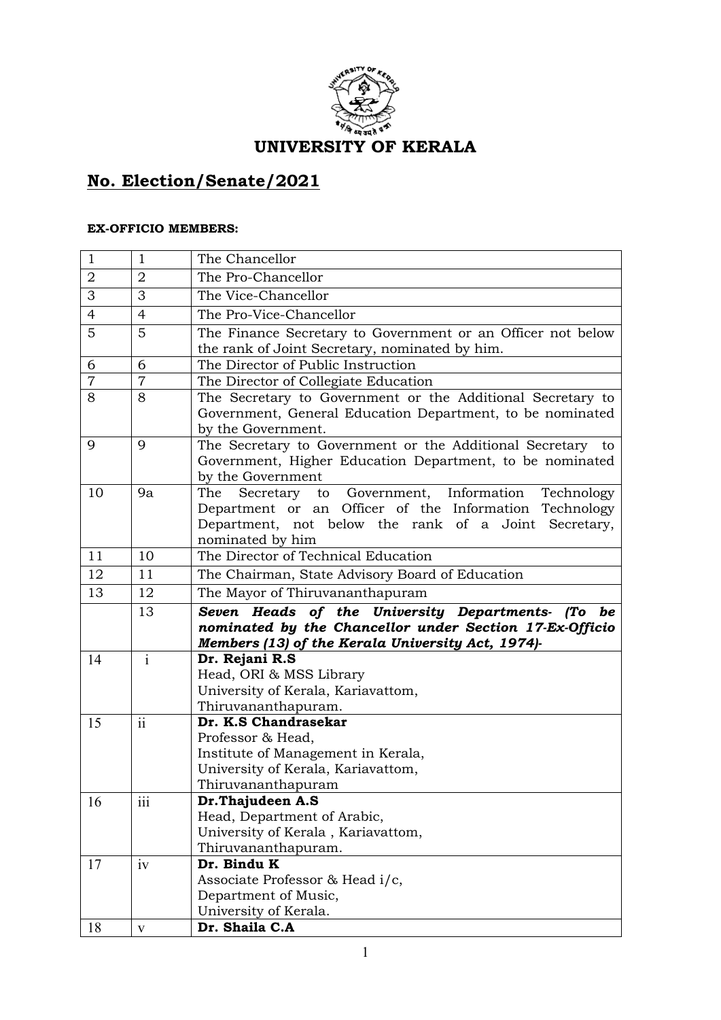

## **No. Election/Senate/2021** Ξ

## **EX-OFFICIO MEMBERS:**

| $\mathbf{1}$   | $\mathbf{1}$    | The Chancellor                                                                                                   |
|----------------|-----------------|------------------------------------------------------------------------------------------------------------------|
| $\overline{2}$ | $\overline{2}$  | The Pro-Chancellor                                                                                               |
| 3              | 3               | The Vice-Chancellor                                                                                              |
| $\overline{4}$ | $\overline{4}$  | The Pro-Vice-Chancellor                                                                                          |
| 5              | 5               | The Finance Secretary to Government or an Officer not below                                                      |
|                |                 | the rank of Joint Secretary, nominated by him.                                                                   |
| 6              | 6               | The Director of Public Instruction                                                                               |
| $\overline{7}$ | $\overline{7}$  | The Director of Collegiate Education                                                                             |
| 8              | 8               | The Secretary to Government or the Additional Secretary to                                                       |
|                |                 | Government, General Education Department, to be nominated                                                        |
|                |                 | by the Government.                                                                                               |
| 9              | 9               | The Secretary to Government or the Additional Secretary to                                                       |
|                |                 | Government, Higher Education Department, to be nominated                                                         |
|                |                 | by the Government                                                                                                |
| 10             | 9a              | Secretary to Government, Information Technology<br>The<br>Department or an Officer of the Information Technology |
|                |                 | Department, not below the rank of a Joint Secretary,                                                             |
|                |                 | nominated by him                                                                                                 |
| 11             | 10              | The Director of Technical Education                                                                              |
| 12             | 11              | The Chairman, State Advisory Board of Education                                                                  |
| 13             | 12              | The Mayor of Thiruvananthapuram                                                                                  |
|                | 13              | Seven Heads of the University Departments- (To be                                                                |
|                |                 | nominated by the Chancellor under Section 17-Ex-Officio                                                          |
|                |                 | Members (13) of the Kerala University Act, 1974)-                                                                |
| 14             | $\mathbf{i}$    | Dr. Rejani R.S                                                                                                   |
|                |                 | Head, ORI & MSS Library                                                                                          |
|                |                 | University of Kerala, Kariavattom,                                                                               |
|                |                 | Thiruvananthapuram.                                                                                              |
| 15             | $\overline{ii}$ | Dr. K.S Chandrasekar                                                                                             |
|                |                 | Professor & Head,                                                                                                |
|                |                 | Institute of Management in Kerala,                                                                               |
|                |                 | University of Kerala, Kariavattom,                                                                               |
|                |                 | Thiruvananthapuram                                                                                               |
| 16             | 111             | Dr. Thajudeen A.S                                                                                                |
|                |                 | Head, Department of Arabic,                                                                                      |
|                |                 | University of Kerala, Kariavattom,<br>Thiruvananthapuram.                                                        |
| 17             | iv              | Dr. Bindu K                                                                                                      |
|                |                 | Associate Professor & Head i/c,                                                                                  |
|                |                 | Department of Music,                                                                                             |
|                |                 | University of Kerala.                                                                                            |
| 18             | $\mathbf{V}$    | Dr. Shaila C.A                                                                                                   |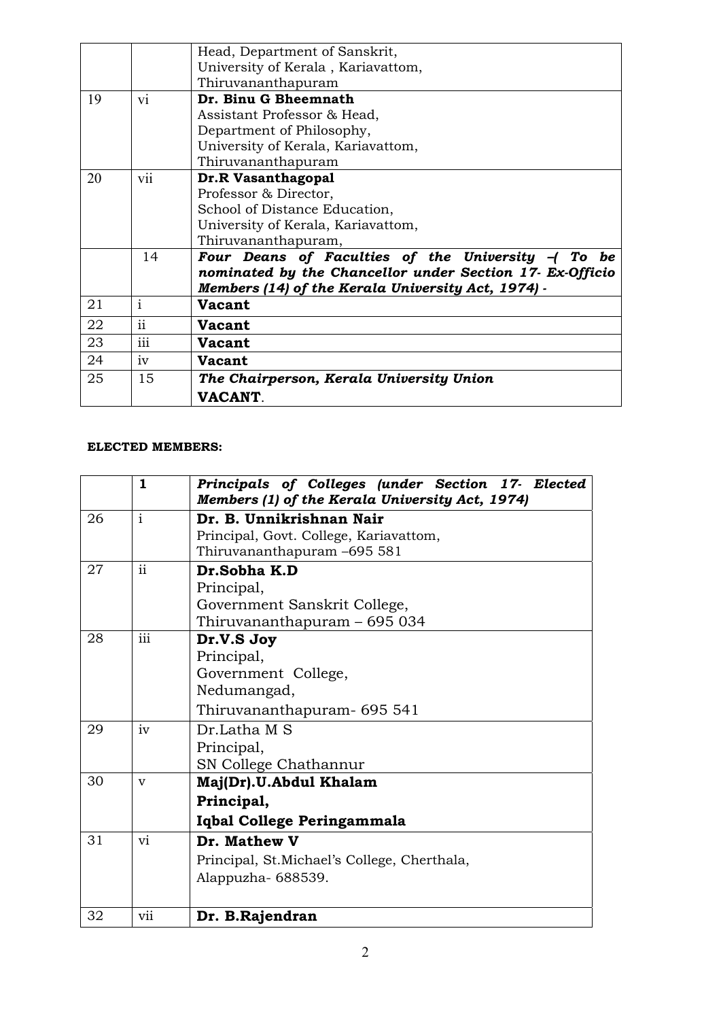|    |                 | Head, Department of Sanskrit,                            |
|----|-----------------|----------------------------------------------------------|
|    |                 | University of Kerala, Kariavattom,                       |
|    |                 | Thiruvananthapuram                                       |
| 19 | V1              | Dr. Binu G Bheemnath                                     |
|    |                 | Assistant Professor & Head,                              |
|    |                 | Department of Philosophy,                                |
|    |                 | University of Kerala, Kariavattom,                       |
|    |                 | Thiruvananthapuram                                       |
| 20 | V11             | Dr.R Vasanthagopal                                       |
|    |                 | Professor & Director,                                    |
|    |                 | School of Distance Education,                            |
|    |                 | University of Kerala, Kariavattom,                       |
|    |                 | Thiruvananthapuram,                                      |
|    | 14              | Four Deans of Faculties of the University $-$ (To<br>be  |
|    |                 | nominated by the Chancellor under Section 17- Ex-Officio |
|    |                 | Members (14) of the Kerala University Act, 1974) -       |
| 21 | 1               | Vacant                                                   |
| 22 | ii              | <b>Vacant</b>                                            |
| 23 | $\cdots$<br>111 | <b>Vacant</b>                                            |
| 24 | 1V              | <b>Vacant</b>                                            |
| 25 | 15              | The Chairperson, Kerala University Union                 |
|    |                 | <b>VACANT</b> .                                          |

## **ELECTED MEMBERS:**

|    | $\mathbf{1}$            | Principals of Colleges (under Section 17- Elected<br>Members (1) of the Kerala University Act, 1974) |
|----|-------------------------|------------------------------------------------------------------------------------------------------|
| 26 | $\overline{\mathbf{i}}$ | Dr. B. Unnikrishnan Nair                                                                             |
|    |                         | Principal, Govt. College, Kariavattom,                                                               |
|    |                         | Thiruvananthapuram -695 581                                                                          |
| 27 | $\mathbf{ii}$           | Dr.Sobha K.D                                                                                         |
|    |                         | Principal,                                                                                           |
|    |                         | Government Sanskrit College,                                                                         |
|    |                         | Thiruvananthapuram – 695 034                                                                         |
| 28 | $\overline{iii}$        | Dr.V.S Joy                                                                                           |
|    |                         | Principal,                                                                                           |
|    |                         | Government College,                                                                                  |
|    |                         | Nedumangad,                                                                                          |
|    |                         | Thiruvananthapuram- 695 541                                                                          |
| 29 | iv                      | Dr.Latha M S                                                                                         |
|    |                         | Principal,                                                                                           |
|    |                         | SN College Chathannur                                                                                |
| 30 | $\overline{\mathbf{V}}$ | Maj(Dr).U.Abdul Khalam                                                                               |
|    |                         | Principal,                                                                                           |
|    |                         | Iqbal College Peringammala                                                                           |
| 31 | vi                      | Dr. Mathew V                                                                                         |
|    |                         | Principal, St.Michael's College, Cherthala,                                                          |
|    |                         | Alappuzha-688539.                                                                                    |
|    |                         |                                                                                                      |
| 32 | vii                     | Dr. B.Rajendran                                                                                      |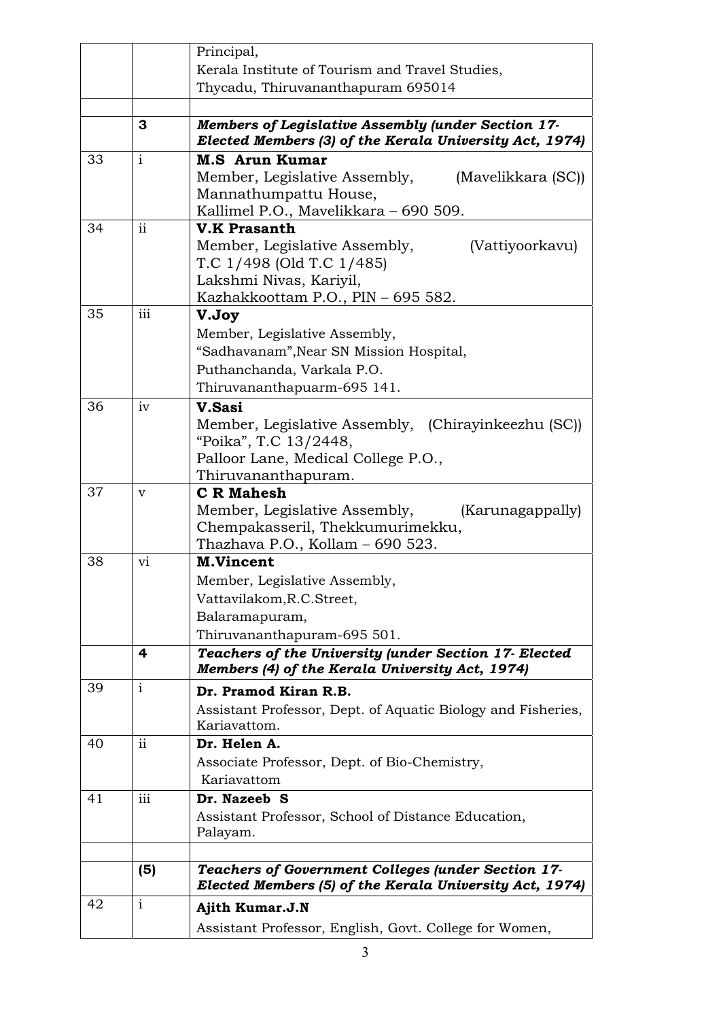|    |               | Principal,                                                                                                           |
|----|---------------|----------------------------------------------------------------------------------------------------------------------|
|    |               | Kerala Institute of Tourism and Travel Studies,                                                                      |
|    |               | Thycadu, Thiruvananthapuram 695014                                                                                   |
|    |               |                                                                                                                      |
|    | 3             | <b>Members of Legislative Assembly (under Section 17-</b><br>Elected Members (3) of the Kerala University Act, 1974) |
| 33 | $\mathbf{i}$  | <b>M.S</b> Arun Kumar                                                                                                |
|    |               | Member, Legislative Assembly,<br>(Mavelikkara (SC))                                                                  |
|    |               | Mannathumpattu House,                                                                                                |
|    |               | Kallimel P.O., Mavelikkara - 690 509.                                                                                |
| 34 | $\mathbf{ii}$ | <b>V.K Prasanth</b>                                                                                                  |
|    |               | Member, Legislative Assembly,<br>(Vattiyoorkavu)                                                                     |
|    |               | T.C 1/498 (Old T.C 1/485)                                                                                            |
|    |               | Lakshmi Nivas, Kariyil,                                                                                              |
| 35 | iii           | Kazhakkoottam P.O., PIN - 695 582.                                                                                   |
|    |               | V.Joy                                                                                                                |
|    |               | Member, Legislative Assembly,                                                                                        |
|    |               | "Sadhavanam", Near SN Mission Hospital,                                                                              |
|    |               | Puthanchanda, Varkala P.O.                                                                                           |
| 36 | iv            | Thiruvananthapuarm-695 141.                                                                                          |
|    |               | V.Sasi                                                                                                               |
|    |               | Member, Legislative Assembly, (Chirayinkeezhu (SC))<br>"Poika", T.C 13/2448,                                         |
|    |               | Palloor Lane, Medical College P.O.,                                                                                  |
|    |               | Thiruvananthapuram.                                                                                                  |
| 37 | v             | <b>C</b> R Mahesh                                                                                                    |
|    |               | Member, Legislative Assembly,<br>(Karunagappally)                                                                    |
|    |               | Chempakasseril, Thekkumurimekku,                                                                                     |
|    |               | Thazhava P.O., Kollam – 690 523.                                                                                     |
| 38 | vi            | <b>M.Vincent</b>                                                                                                     |
|    |               | Member, Legislative Assembly,                                                                                        |
|    |               | Vattavilakom, R.C. Street,                                                                                           |
|    |               | Balaramapuram,                                                                                                       |
|    |               | Thiruvananthapuram-695 501.                                                                                          |
|    | 4             | Teachers of the University (under Section 17- Elected<br>Members (4) of the Kerala University Act, 1974)             |
| 39 | $\mathbf{i}$  | Dr. Pramod Kiran R.B.                                                                                                |
|    |               | Assistant Professor, Dept. of Aquatic Biology and Fisheries,                                                         |
|    |               | Kariavattom.                                                                                                         |
| 40 | $\mathbf{ii}$ | Dr. Helen A.                                                                                                         |
|    |               | Associate Professor, Dept. of Bio-Chemistry,                                                                         |
|    |               | Kariavattom                                                                                                          |
| 41 | iii           | Dr. Nazeeb S                                                                                                         |
|    |               | Assistant Professor, School of Distance Education,                                                                   |
|    |               | Palayam.                                                                                                             |
|    |               |                                                                                                                      |
|    | (5)           | Teachers of Government Colleges (under Section 17-<br>Elected Members (5) of the Kerala University Act, 1974)        |
| 42 | $\mathbf{i}$  | Ajith Kumar.J.N                                                                                                      |
|    |               | Assistant Professor, English, Govt. College for Women,                                                               |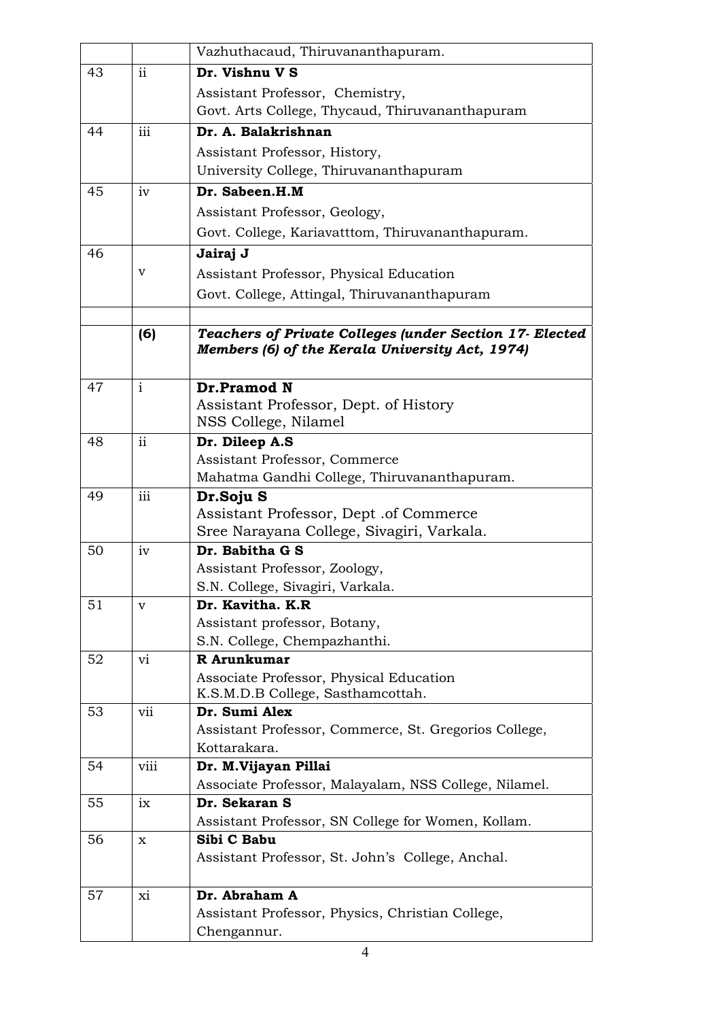|    |               | Vazhuthacaud, Thiruvananthapuram.                                                                          |
|----|---------------|------------------------------------------------------------------------------------------------------------|
| 43 | $\mathbf{ii}$ | Dr. Vishnu V S                                                                                             |
|    |               | Assistant Professor, Chemistry,                                                                            |
|    |               | Govt. Arts College, Thycaud, Thiruvananthapuram                                                            |
| 44 | iii           | Dr. A. Balakrishnan                                                                                        |
|    |               | Assistant Professor, History,                                                                              |
|    |               | University College, Thiruvananthapuram                                                                     |
| 45 | iv            | Dr. Sabeen.H.M                                                                                             |
|    |               | Assistant Professor, Geology,                                                                              |
|    |               | Govt. College, Kariavatttom, Thiruvananthapuram.                                                           |
| 46 |               | Jairaj J                                                                                                   |
|    | v             |                                                                                                            |
|    |               | Assistant Professor, Physical Education                                                                    |
|    |               | Govt. College, Attingal, Thiruvananthapuram                                                                |
|    |               |                                                                                                            |
|    | (6)           | Teachers of Private Colleges (under Section 17- Elected<br>Members (6) of the Kerala University Act, 1974) |
|    |               |                                                                                                            |
| 47 | $\mathbf{i}$  | Dr.Pramod N                                                                                                |
|    |               | Assistant Professor, Dept. of History                                                                      |
|    |               | NSS College, Nilamel                                                                                       |
| 48 | $\mathbf{ii}$ | Dr. Dileep A.S                                                                                             |
|    |               | Assistant Professor, Commerce                                                                              |
|    |               | Mahatma Gandhi College, Thiruvananthapuram.                                                                |
| 49 | iii           | Dr.Soju S                                                                                                  |
|    |               | Assistant Professor, Dept. of Commerce                                                                     |
|    |               | Sree Narayana College, Sivagiri, Varkala.                                                                  |
| 50 | iv            | Dr. Babitha G S                                                                                            |
|    |               | Assistant Professor, Zoology,                                                                              |
| 51 |               | S.N. College, Sivagiri, Varkala.<br>Dr. Kavitha. K.R                                                       |
|    | v             |                                                                                                            |
|    |               | Assistant professor, Botany,<br>S.N. College, Chempazhanthi.                                               |
| 52 | vi            | R Arunkumar                                                                                                |
|    |               | Associate Professor, Physical Education                                                                    |
|    |               | K.S.M.D.B College, Sasthamcottah.                                                                          |
| 53 | vii           | Dr. Sumi Alex                                                                                              |
|    |               | Assistant Professor, Commerce, St. Gregorios College,                                                      |
|    |               | Kottarakara.                                                                                               |
| 54 | viii          | Dr. M.Vijayan Pillai                                                                                       |
|    |               | Associate Professor, Malayalam, NSS College, Nilamel.                                                      |
| 55 | ix            | Dr. Sekaran S                                                                                              |
|    |               | Assistant Professor, SN College for Women, Kollam.                                                         |
| 56 | x             | Sibi C Babu                                                                                                |
|    |               | Assistant Professor, St. John's College, Anchal.                                                           |
| 57 | xi            | Dr. Abraham A                                                                                              |
|    |               | Assistant Professor, Physics, Christian College,                                                           |
|    |               | Chengannur.                                                                                                |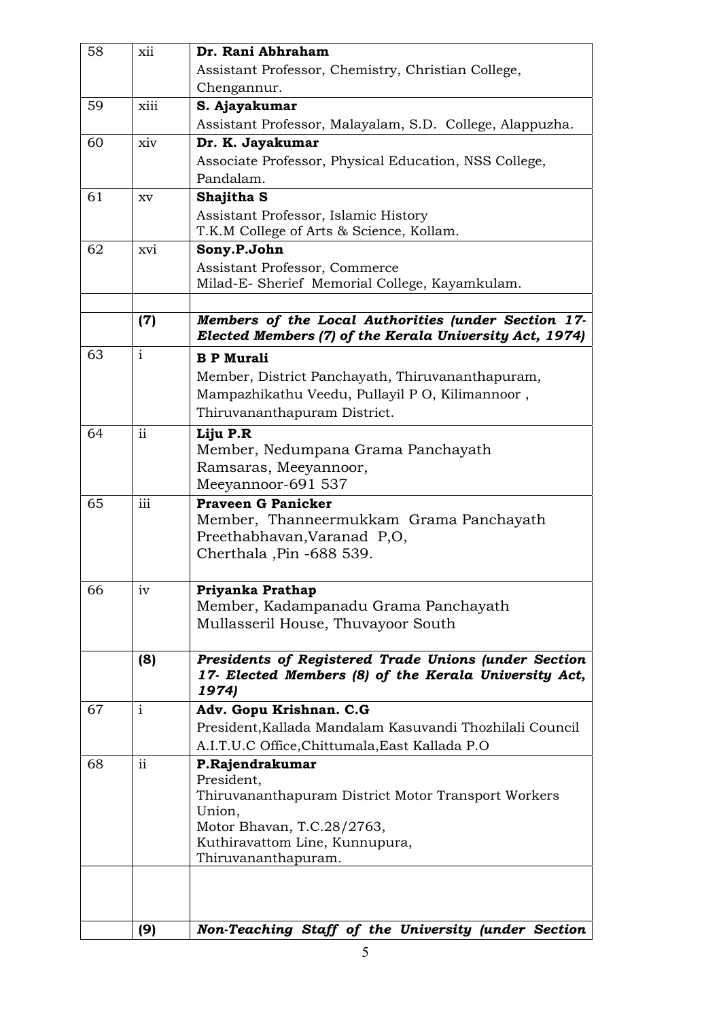| 58 | xii                     | Dr. Rani Abhraham                                        |
|----|-------------------------|----------------------------------------------------------|
|    |                         | Assistant Professor, Chemistry, Christian College,       |
|    |                         | Chengannur.                                              |
| 59 | xiii                    | S. Ajayakumar                                            |
|    |                         | Assistant Professor, Malayalam, S.D. College, Alappuzha. |
| 60 | xiv                     | Dr. K. Jayakumar                                         |
|    |                         | Associate Professor, Physical Education, NSS College,    |
|    |                         | Pandalam.                                                |
| 61 | XV                      | Shajitha S                                               |
|    |                         | Assistant Professor, Islamic History                     |
|    |                         | T.K.M College of Arts & Science, Kollam.                 |
| 62 | xvi                     | Sony.P.John                                              |
|    |                         | Assistant Professor, Commerce                            |
|    |                         | Milad-E- Sherief Memorial College, Kayamkulam.           |
|    |                         |                                                          |
|    | (7)                     | Members of the Local Authorities (under Section 17-      |
|    |                         | Elected Members (7) of the Kerala University Act, 1974)  |
| 63 | $\mathbf{i}$            | <b>B P Murali</b>                                        |
|    |                         | Member, District Panchayath, Thiruvananthapuram,         |
|    |                         | Mampazhikathu Veedu, Pullayil PO, Kilimannoor,           |
|    |                         | Thiruvananthapuram District.                             |
| 64 | $\ddot{\rm ii}$         | Liju P.R                                                 |
|    |                         | Member, Nedumpana Grama Panchayath                       |
|    |                         | Ramsaras, Meeyannoor,                                    |
|    |                         | Meeyannoor-691 537                                       |
| 65 | $\overline{\text{iii}}$ | <b>Praveen G Panicker</b>                                |
|    |                         | Member, Thanneermukkam Grama Panchayath                  |
|    |                         | Preethabhavan, Varanad P,O,                              |
|    |                         | Cherthala , Pin - 688 539.                               |
| 66 |                         | Priyanka Prathap                                         |
|    | 1V                      | Member, Kadampanadu Grama Panchayath                     |
|    |                         | Mullasseril House, Thuvayoor South                       |
|    |                         |                                                          |
|    | (8)                     | Presidents of Registered Trade Unions (under Section     |
|    |                         | 17- Elected Members (8) of the Kerala University Act,    |
|    |                         | 1974)                                                    |
| 67 | $\mathbf{i}$            | Adv. Gopu Krishnan. C.G                                  |
|    |                         | President, Kallada Mandalam Kasuvandi Thozhilali Council |
|    |                         | A.I.T.U.C Office, Chittumala, East Kallada P.O           |
| 68 | $\mathbf{ii}$           | P.Rajendrakumar                                          |
|    |                         | President,                                               |
|    |                         | Thiruvananthapuram District Motor Transport Workers      |
|    |                         | Union,<br>Motor Bhavan, T.C.28/2763,                     |
|    |                         | Kuthiravattom Line, Kunnupura,                           |
|    |                         | Thiruvananthapuram.                                      |
|    |                         |                                                          |
|    |                         |                                                          |
|    |                         |                                                          |
|    | (9)                     | Non-Teaching Staff of the University (under Section      |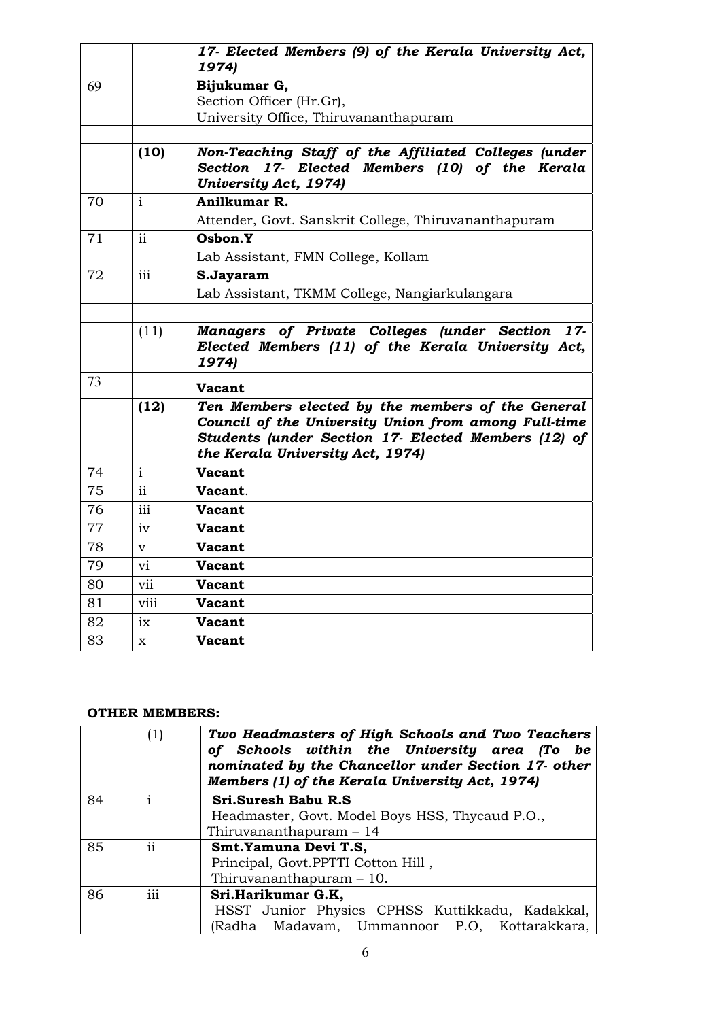|    |                         | 17- Elected Members (9) of the Kerala University Act,<br>1974)                                                                                                                                       |
|----|-------------------------|------------------------------------------------------------------------------------------------------------------------------------------------------------------------------------------------------|
| 69 |                         | Bijukumar G,                                                                                                                                                                                         |
|    |                         | Section Officer (Hr.Gr),                                                                                                                                                                             |
|    |                         | University Office, Thiruvananthapuram                                                                                                                                                                |
|    |                         |                                                                                                                                                                                                      |
|    | (10)                    | Non-Teaching Staff of the Affiliated Colleges (under<br>Section 17- Elected Members (10) of the Kerala<br>University Act, 1974)                                                                      |
| 70 | $\mathbf{i}$            | Anilkumar R.                                                                                                                                                                                         |
|    |                         | Attender, Govt. Sanskrit College, Thiruvananthapuram                                                                                                                                                 |
| 71 | ii                      | Osbon.Y                                                                                                                                                                                              |
|    |                         | Lab Assistant, FMN College, Kollam                                                                                                                                                                   |
| 72 | iii                     | S.Jayaram                                                                                                                                                                                            |
|    |                         | Lab Assistant, TKMM College, Nangiarkulangara                                                                                                                                                        |
|    |                         |                                                                                                                                                                                                      |
|    | (11)                    | Managers of Private Colleges (under Section 17-<br>Elected Members (11) of the Kerala University Act,<br>1974)                                                                                       |
| 73 |                         | <b>Vacant</b>                                                                                                                                                                                        |
|    | (12)                    | Ten Members elected by the members of the General<br>Council of the University Union from among Full-time<br>Students (under Section 17- Elected Members (12) of<br>the Kerala University Act, 1974) |
| 74 | $\overline{\mathbf{i}}$ | <b>Vacant</b>                                                                                                                                                                                        |
| 75 | $\mathbf{ii}$           | Vacant.                                                                                                                                                                                              |
| 76 | iii                     | <b>Vacant</b>                                                                                                                                                                                        |
| 77 | iv                      | <b>Vacant</b>                                                                                                                                                                                        |
| 78 | $\mathbf v$             | <b>Vacant</b>                                                                                                                                                                                        |
| 79 | vi                      | Vacant                                                                                                                                                                                               |
| 80 | vii                     | <b>Vacant</b>                                                                                                                                                                                        |
| 81 | viii                    | <b>Vacant</b>                                                                                                                                                                                        |
| 82 | ix                      | <b>Vacant</b>                                                                                                                                                                                        |
| 83 | x                       | <b>Vacant</b>                                                                                                                                                                                        |

## **OTHER MEMBERS:**

|    | (1)                      | Two Headmasters of High Schools and Two Teachers<br>of Schools within the University area (To be<br>nominated by the Chancellor under Section 17- other<br>Members (1) of the Kerala University Act, 1974) |
|----|--------------------------|------------------------------------------------------------------------------------------------------------------------------------------------------------------------------------------------------------|
| 84 |                          | Sri.Suresh Babu R.S                                                                                                                                                                                        |
|    |                          | Headmaster, Govt. Model Boys HSS, Thycaud P.O.,                                                                                                                                                            |
|    |                          | Thiruvananthapuram – 14                                                                                                                                                                                    |
| 85 | $\overline{\mathbf{ii}}$ | Smt.Yamuna Devi T.S,                                                                                                                                                                                       |
|    |                          | Principal, Govt.PPTTI Cotton Hill,                                                                                                                                                                         |
|    |                          | Thiruvananthapuram $-10$ .                                                                                                                                                                                 |
| 86 | $\cdots$<br>111          | Sri.Harikumar G.K,                                                                                                                                                                                         |
|    |                          | HSST Junior Physics CPHSS Kuttikkadu, Kadakkal,                                                                                                                                                            |
|    |                          | (Radha Madavam, Ummannoor P.O, Kottarakkara,                                                                                                                                                               |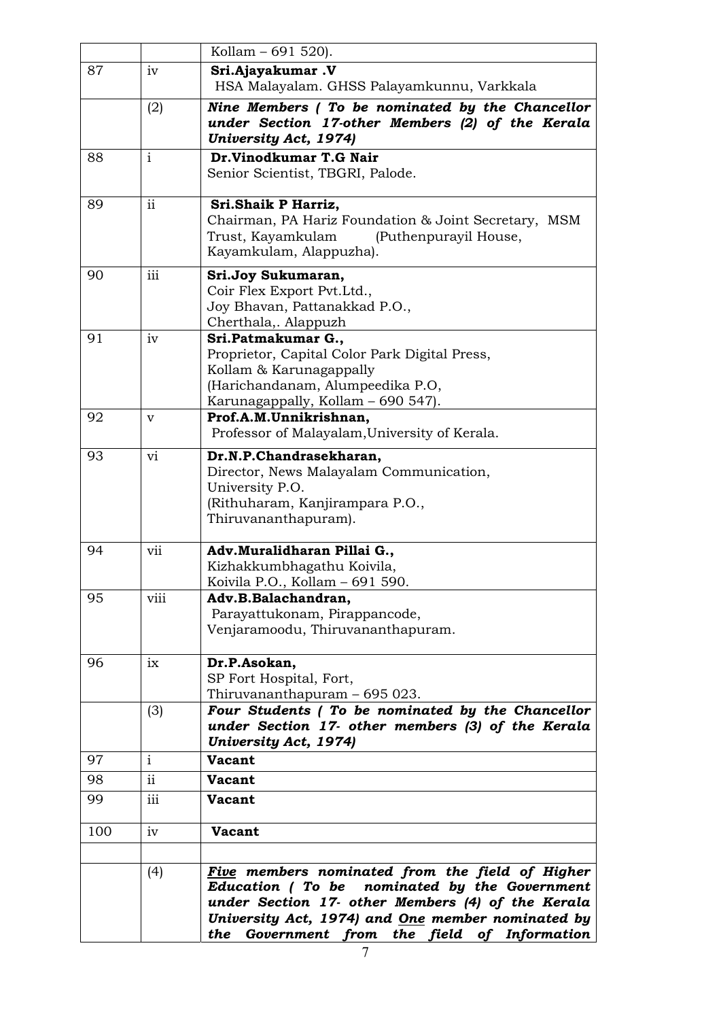|     |                     | Kollam - 691 520).                                                                                                                                                                                                                                        |
|-----|---------------------|-----------------------------------------------------------------------------------------------------------------------------------------------------------------------------------------------------------------------------------------------------------|
| 87  | 1V                  | Sri.Ajayakumar.V                                                                                                                                                                                                                                          |
|     |                     | HSA Malayalam. GHSS Palayamkunnu, Varkkala                                                                                                                                                                                                                |
|     | (2)                 | Nine Members (To be nominated by the Chancellor<br>under Section 17-other Members (2) of the Kerala<br><b>University Act, 1974)</b>                                                                                                                       |
| 88  | $\mathbf{i}$        | Dr.Vinodkumar T.G Nair                                                                                                                                                                                                                                    |
|     |                     | Senior Scientist, TBGRI, Palode.                                                                                                                                                                                                                          |
| 89  | $\mathbf{ii}$       | Sri.Shaik P Harriz,<br>Chairman, PA Hariz Foundation & Joint Secretary, MSM<br>Trust, Kayamkulam<br>(Puthenpurayil House,<br>Kayamkulam, Alappuzha).                                                                                                      |
| 90  | iii                 | Sri.Joy Sukumaran,<br>Coir Flex Export Pvt.Ltd.,<br>Joy Bhavan, Pattanakkad P.O.,<br>Cherthala,. Alappuzh                                                                                                                                                 |
| 91  | iv                  | Sri.Patmakumar G.,<br>Proprietor, Capital Color Park Digital Press,<br>Kollam & Karunagappally<br>(Harichandanam, Alumpeedika P.O,<br>Karunagappally, Kollam – 690 547).                                                                                  |
| 92  | v                   | Prof.A.M.Unnikrishnan,<br>Professor of Malayalam, University of Kerala.                                                                                                                                                                                   |
| 93  | vi                  | Dr.N.P.Chandrasekharan,<br>Director, News Malayalam Communication,<br>University P.O.<br>(Rithuharam, Kanjirampara P.O.,<br>Thiruvananthapuram).                                                                                                          |
| 94  | vii                 | Adv.Muralidharan Pillai G.,<br>Kizhakkumbhagathu Koivila,<br>Koivila P.O., Kollam - 691 590.                                                                                                                                                              |
| 95  | viii                | Adv.B.Balachandran,<br>Parayattukonam, Pirappancode,<br>Venjaramoodu, Thiruvananthapuram.                                                                                                                                                                 |
| 96  | ix                  | Dr.P.Asokan,<br>SP Fort Hospital, Fort,<br>Thiruvananthapuram – 695 023.                                                                                                                                                                                  |
|     | (3)                 | Four Students (To be nominated by the Chancellor<br>under Section 17- other members (3) of the Kerala<br><b>University Act, 1974)</b>                                                                                                                     |
| 97  | $\mathbf{i}$        | <b>Vacant</b>                                                                                                                                                                                                                                             |
| 98  | $\ddot{\mathbf{i}}$ | <b>Vacant</b>                                                                                                                                                                                                                                             |
| 99  | iii                 | <b>Vacant</b>                                                                                                                                                                                                                                             |
| 100 | iv                  | <b>Vacant</b>                                                                                                                                                                                                                                             |
|     | (4)                 | Five members nominated from the field of Higher<br>Education (To be nominated by the Government<br>under Section 17- other Members (4) of the Kerala<br>University Act, 1974) and One member nominated by<br>the Government from the field of Information |